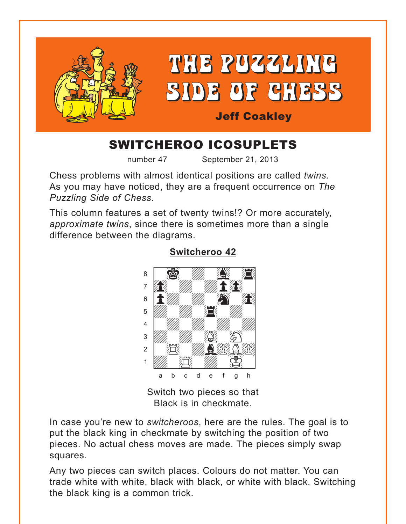<span id="page-0-0"></span>

# SWITCHEROO ICOSUPLETS

number 47 September 21, 2013

Chess problems with almost identical positions are called *twins.*  As you may have noticed, they are a frequent occurrence on *The Puzzling Side of Chess*.

This column features a set of twenty twins!? Or more accurately, *approximate twins*, since there is sometimes more than a single difference between the diagrams.



#### **[Switcheroo 42](#page-6-0)**

Switch two pieces so that Black is in checkmate.

In case you're new to *switcheroos*, here are the rules. The goal is to put the black king in checkmate by switching the position of two pieces. No actual chess moves are made. The pieces simply swap squares.

Any two pieces can switch places. Colours do not matter. You can trade white with white, black with black, or white with black. Switching the black king is a common trick.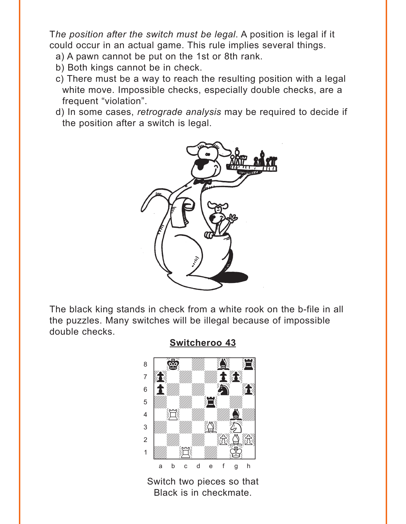<span id="page-1-0"></span>The position after the switch must be legal. A position is legal if it could occur in an actual game. This rule implies several things.

- a) A pawn cannot be put on the 1st or 8th rank.
- b) Both kings cannot be in check.
- c) There must be a way to reach the resulting position with a legal white move. Impossible checks, especially double checks, are a frequent "violation".
- d) In some cases, retrograde analysis may be required to decide if the position after a switch is legal.



The black king stands in check from a white rook on the b-file in all the puzzles. Many switches will be illegal because of impossible double checks.

**Switcheroo 43** 



Switch two pieces so that Black is in checkmate.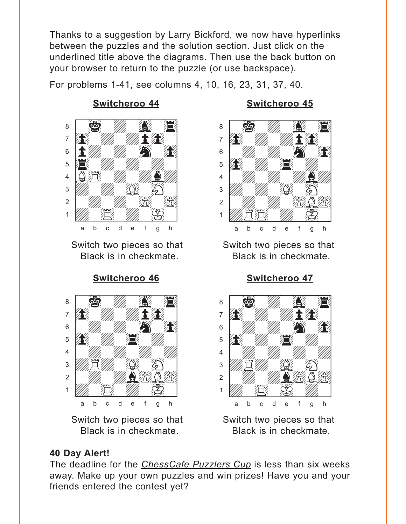<span id="page-2-0"></span>Thanks to a suggestion by Larry Bickford, we now have hyperlinks between the puzzles and the solution section. Just click on the underlined title above the diagrams. Then use the back button on your browser to return to the puzzle (or use backspace).

For problems 1-41, see columns 4, 10, 16, 23, 31, 37, 40.



Switch two pieces so that Switch two pieces so that

**[Switcheroo 46](#page-8-0) [Switcheroo 47](#page-8-0)**



Switch two pieces so that Switch two pieces so that

## **[Switcheroo 44](#page-7-0) [Switcheroo 45](#page-7-0)**



Black is in checkmate. Black is in checkmate.



Black is in checkmate. Black is in checkmate.

## **40 Day Alert!**

The deadline for the *ChessCafe Puzzlers Cup* is less than six weeks away. Make up your own puzzles and win prizes! Have you and your friends entered the contest yet?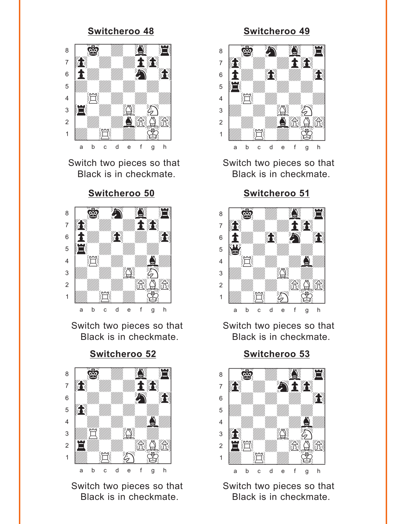<span id="page-3-0"></span>

Switch two pieces so that Switch two pieces so that

#### **[Switcheroo 50](#page-10-0) [Switcheroo 51](#page-10-0)**



Switch two pieces so that Switch two pieces so that





Switch two pieces so that Switch two pieces so that

#### **[Switcheroo 48](#page-9-0) [Switcheroo 49](#page-9-0)**



Black is in checkmate. Black is in checkmate.



Black is in checkmate. Black is in checkmate.



Black is in checkmate. Black is in checkmate.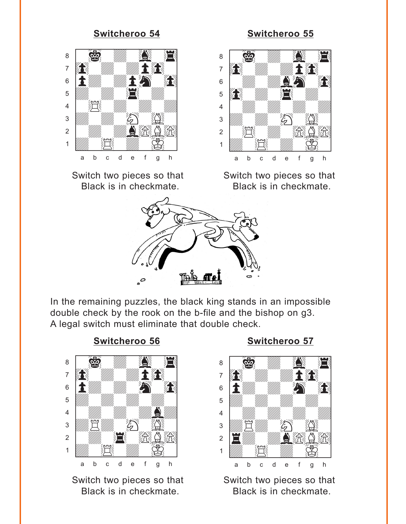<span id="page-4-0"></span>

Switch two pieces so that Switch two pieces so that

#### **[Switcheroo 54](#page-12-0) [Switcheroo 55](#page-12-0)**



Black is in checkmate. Black is in checkmate.



In the remaining puzzles, the black king stands in an impossible double check by the rook on the b-file and the bishop on g3. A legal switch must eliminate that double check.



Switch two pieces so that Switch two pieces so that

#### **[Switcheroo 56](#page-13-0) [Switcheroo 57](#page-13-0)**



Black is in checkmate. Black is in checkmate.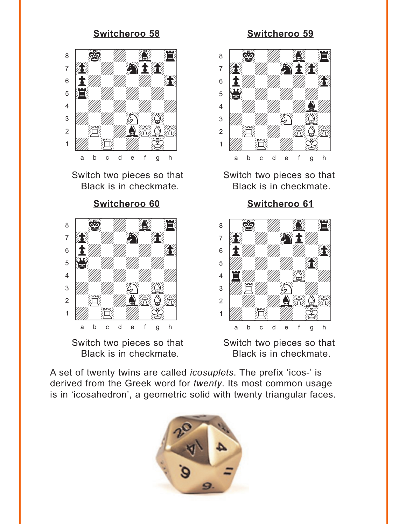# <span id="page-5-0"></span>where  $\frac{1}{2}$  and  $\frac{1}{2}$  and  $\frac{1}{2}$  and  $\frac{1}{2}$  and  $\frac{1}{2}$  and  $\frac{1}{2}$  $\frac{1}{2}$  (  $\frac{1}{2}$   $\frac{1}{2}$   $\frac{1}{2}$   $\frac{1}{2}$   $\frac{1}{2}$   $\frac{1}{2}$   $\frac{1}{2}$   $\frac{1}{2}$   $\frac{1}{2}$   $\frac{1}{2}$   $\frac{1}{2}$   $\frac{1}{2}$   $\frac{1}{2}$   $\frac{1}{2}$   $\frac{1}{2}$   $\frac{1}{2}$   $\frac{1}{2}$   $\frac{1}{2}$   $\frac{1}{2}$   $\frac{1}{2}$   $\frac{1}{2}$ <sup>7</sup> **in Simma**  $\mathbf{s}$  ,  $\mathbf{t}$  ,  $\mathbf{w}$  ,  $\mathbf{w}$  ,  $\mathbf{r}$  ,  $\mathbf{r}$  ,  $\mathbf{r}$  ,  $\mathbf{r}$  ,  $\mathbf{r}$  ,  $\mathbf{r}$  ,  $\mathbf{r}$  ,  $\mathbf{r}$  ,  $\mathbf{r}$  ,  $\mathbf{r}$  ,  $\mathbf{r}$  ,  $\mathbf{r}$  ,  $\mathbf{r}$  ,  $\mathbf{r}$  ,  $\mathbf{r}$  ,  $\mathbf{r}$  ,  $\$  $\overline{\mathbf{E}}$  with the set of  $\overline{\mathbf{E}}$ 4 | *William William William William William William William William William William William William William William William William William William William William William William William William William William William W*  $\frac{1}{2}$  $2$   $\mathbb{E}$   $\mathbb{E}$   $\mathbb{E}$   $\mathbb{E}$   $\mathbb{E}$  $\frac{1}{\sqrt{2}}$ a b c d e f g h



#### **[Switcheroo 58](#page-14-0) [Switcheroo 59](#page-14-0)**



Switch two pieces so that Switch two pieces so that Black is in checkmate. Black is in checkmate.

**[Switcheroo 60](#page-15-0) [Switcheroo 61](#page-15-0)**



Switch two pieces so that Switch two pieces so that Black is in checkmate. Black is in checkmate.

A set of twenty twins are called *icosuplets*. The prefix 'icos-' is derived from the Greek word for *twenty*. Its most common usage is in 'icosahedron', a geometric solid with twenty triangular faces.

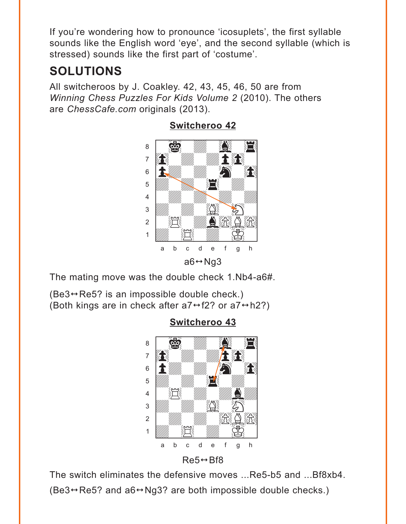<span id="page-6-0"></span>If you're wondering how to pronounce 'icosuplets', the first syllable sounds like the English word 'eye', and the second syllable (which is stressed) sounds like the first part of 'costume'.

# **SOLUTIONS**

All switcheroos by J. Coakley. 42, 43, 45, 46, 50 are from Winning Chess Puzzles For Kids Volume 2 (2010). The others are ChessCafe.com originals (2013).



**Switcheroo 42** 

The mating move was the double check 1. Nb4-a6#.

 $(Be3 \leftrightarrow Re5?$  is an impossible double check.) (Both kings are in check after  $a7 \leftrightarrow f2$ ? or  $a7 \leftrightarrow h2$ ?)

## **Switcheroo 43**





The switch eliminates the defensive moves ...Re5-b5 and ...Bf8xb4.  $(Be3 \rightarrow Re5$ ? and  $a6 \rightarrow Ng3$ ? are both impossible double checks.)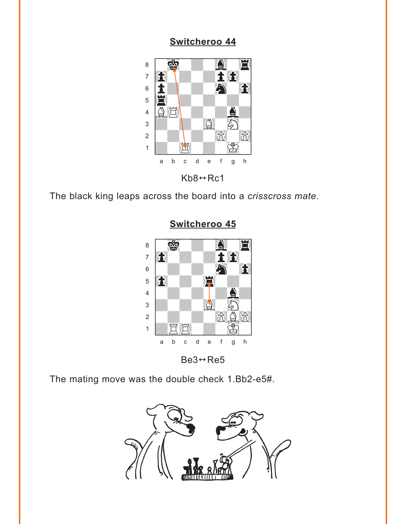<span id="page-7-0"></span>

 $Kb8 \leftrightarrow RC1$ 

The black king leaps across the board into a crisscross mate.



# Switcheroo 45

 $Be3 \leftrightarrow Re5$ 

The mating move was the double check 1.Bb2-e5#.

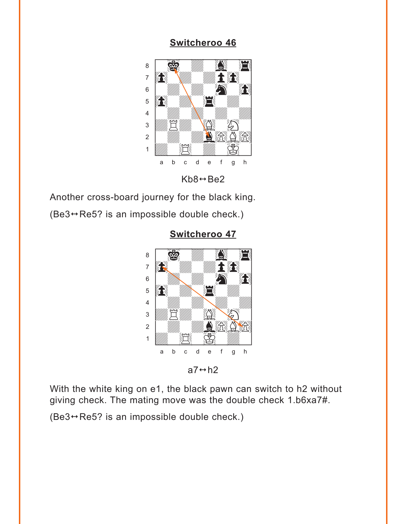<span id="page-8-0"></span>

 $Kb8 \leftrightarrow Be2$ 

Another cross-board journey for the black king.  $(Be3 \rightarrow Re5$ ? is an impossible double check.)

> where  $\frac{1}{2}$  and  $\frac{1}{2}$  and  $\frac{1}{2}$  and  $\frac{1}{2}$  and  $\frac{1}{2}$  and  $\frac{1}{2}$  $\frac{1}{2}$  (2)  $\frac{1}{2}$ **book with with 1970**  $\mathbb{S}$  is the set of  $\mathbb{S}$ Þ0wdw4wdw] 4 | *William William William William William William William William William William William William William William William William William William William William William William William William William William William W*  $\frac{1}{2}$  $\mathbb{Z}$  /  $\mathbb{Z}$  /  $\mathbb{Z}$  /  $\mathbb{Z}$  /  $\mathbb{Z}$  $\frac{1}{2}$   $\frac{1}{2}$   $\frac{1}{2}$   $\frac{1}{2}$   $\frac{1}{2}$ a b c d e f g h

**[Switcheroo 47](#page-2-0)**

 $a7 \leftrightarrow h2$ 

With the white king on e1, the black pawn can switch to h2 without giving check. The mating move was the double check 1.b6xa7#.

 $(Be3 \leftrightarrow Re5?$  is an impossible double check.)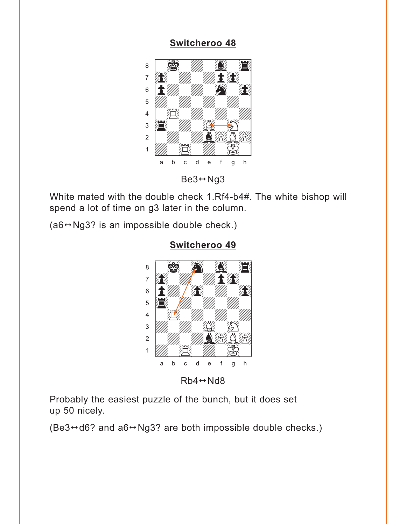<span id="page-9-0"></span>

 $Be3 \leftrightarrow Ng3$ 

White mated with the double check 1.Rf4-b4#. The white bishop will spend a lot of time on g3 later in the column.

 $(a6 \rightarrow Ng3$ ? is an impossible double check.)



### **[Switcheroo 49](#page-3-0)** where  $\frac{1}{2}$  is the set of the set of the set of the set of the set of the set of the set of the set of the set of the set of the set of the set of the set of the set of the set of the set of the set of the set of the

 $Rb4 \leftrightarrow Nd8$ 

Probably the easiest puzzle of the bunch, but it does set up 50 nicely.

(Be3 $\leftrightarrow$ d6? and a6 $\leftrightarrow$ Ng3? are both impossible double checks.)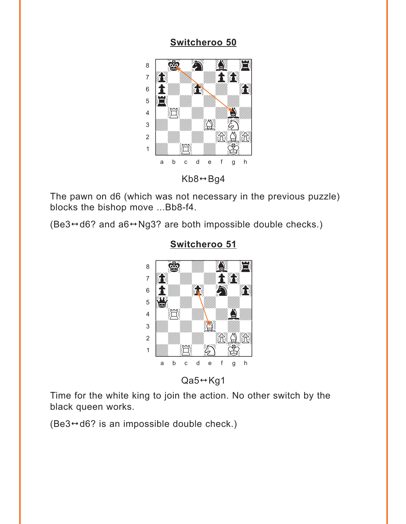<span id="page-10-0"></span>

 $Kb8 \leftrightarrow Bg4$ 

The pawn on d6 (which was not necessary in the previous puzzle) blocks the bishop move ... Bb8-f4.

 $(Be3 \leftrightarrow d6?$  and  $a6 \leftrightarrow Ng3?$  are both impossible double checks.)



#### Switcheroo 51

 $Qa5 \leftrightarrow Kg1$ 

Time for the white king to join the action. No other switch by the black queen works.

 $(Be3 \leftrightarrow d6$ ? is an impossible double check.)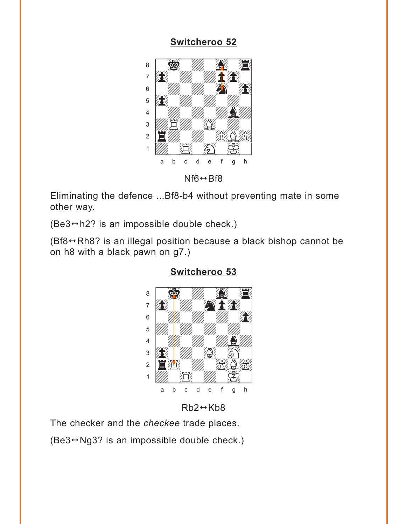<span id="page-11-0"></span>

 $Nf6 \leftrightarrow Bf8$ 

Eliminating the defence ...Bf8-b4 without preventing mate in some other way.

(Be3→h2? is an impossible double check.)

 $(Bf8 \leftrightarrow Rh8$ ? is an illegal position because a black bishop cannot be on h8 with a black pawn on g7.)



#### Switcheroo 53

 $Rb2 \leftrightarrow Kb8$ 

The checker and the checkee trade places.

 $(Be3 \rightarrow Ng3$ ? is an impossible double check.)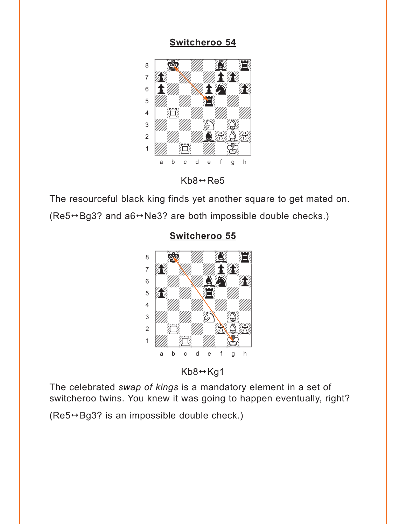<span id="page-12-0"></span>

 $Kb8 \leftrightarrow \text{Re}5$ 

The resourceful black king finds yet another square to get mated on.

(Re5→Bg3? and a6→Ne3? are both impossible double checks.)



#### Switcheroo 55

 $Kb8 \leftrightarrow Kg1$ 

The celebrated swap of kings is a mandatory element in a set of switcheroo twins. You knew it was going to happen eventually, right?

 $(Re5 \rightarrow Bg3$ ? is an impossible double check.)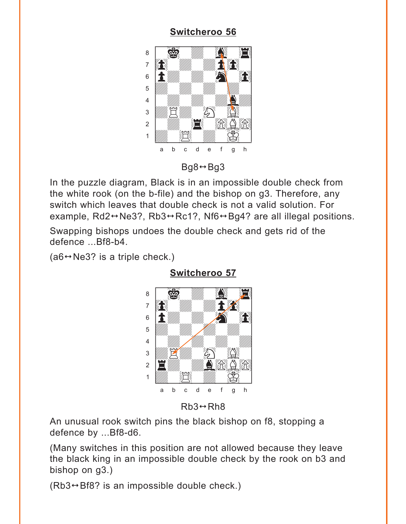<span id="page-13-0"></span>

 $Bq8 \leftrightarrow Bq3$ 

In the puzzle diagram, Black is in an impossible double check from the white rook (on the b-file) and the bishop on g3. Therefore, any switch which leaves that double check is not a valid solution. For example, Rd2 $\leftrightarrow$ Ne3?, Rb3 $\leftrightarrow$ Rc1?, Nf6 $\leftrightarrow$ Bq4? are all illegal positions.

Swapping bishops undoes the double check and gets rid of the defence ... Bf8-b4.

 $(a6 \leftrightarrow Ne3?$  is a triple check.)



**Switcheroo 57** 

 $Rb3 \leftrightarrow Rh8$ 

An unusual rook switch pins the black bishop on f8, stopping a defence by ...Bf8-d6.

(Many switches in this position are not allowed because they leave the black king in an impossible double check by the rook on b3 and bishop on  $g3.$ )

 $(Rb3 \rightarrow Bf8$ ? is an impossible double check.)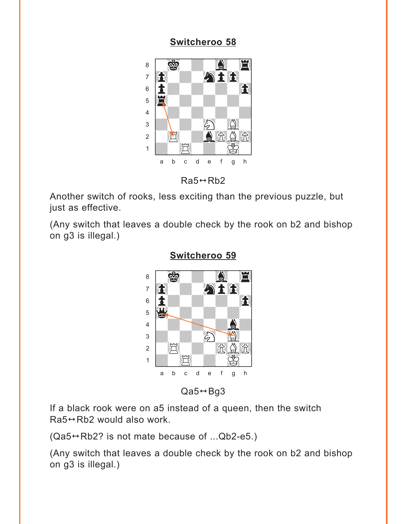<span id="page-14-0"></span>

 $Ra5 \leftrightarrow Rb2$ 

Another switch of rooks, less exciting than the previous puzzle, but just as effective.

(Any switch that leaves a double check by the rook on b2 and bishop on g3 is illegal.)



**[Switcheroo 59](#page-5-0)**

 $Qa5 \leftrightarrow Bg3$ 

If a black rook were on a5 instead of a queen, then the switch  $Ra5 \leftrightarrow Rb2$  would also work.

 $(Qa5 \leftrightarrow Rb2$ ? is not mate because of ... $Qb2-e5$ .)

(Any switch that leaves a double check by the rook on b2 and bishop on g3 is illegal.)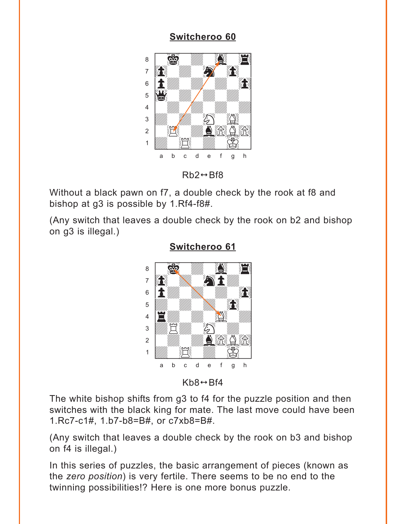<span id="page-15-0"></span>

 $Rb2 \leftrightarrow Bf8$ 

Without a black pawn on f7, a double check by the rook at f8 and bishop at q3 is possible by 1.Rf4-f8#.

(Any switch that leaves a double check by the rook on b2 and bishop on g3 is illegal.)



#### **Switcheroo 61**

 $Kb8 \leftrightarrow Bf4$ 

The white bishop shifts from g3 to f4 for the puzzle position and then switches with the black king for mate. The last move could have been 1.Rc7-c1#, 1.b7-b8=B#, or c7xb8=B#.

(Any switch that leaves a double check by the rook on b3 and bishop on f4 is illegal.)

In this series of puzzles, the basic arrangement of pieces (known as the zero position) is very fertile. There seems to be no end to the twinning possibilities!? Here is one more bonus puzzle.